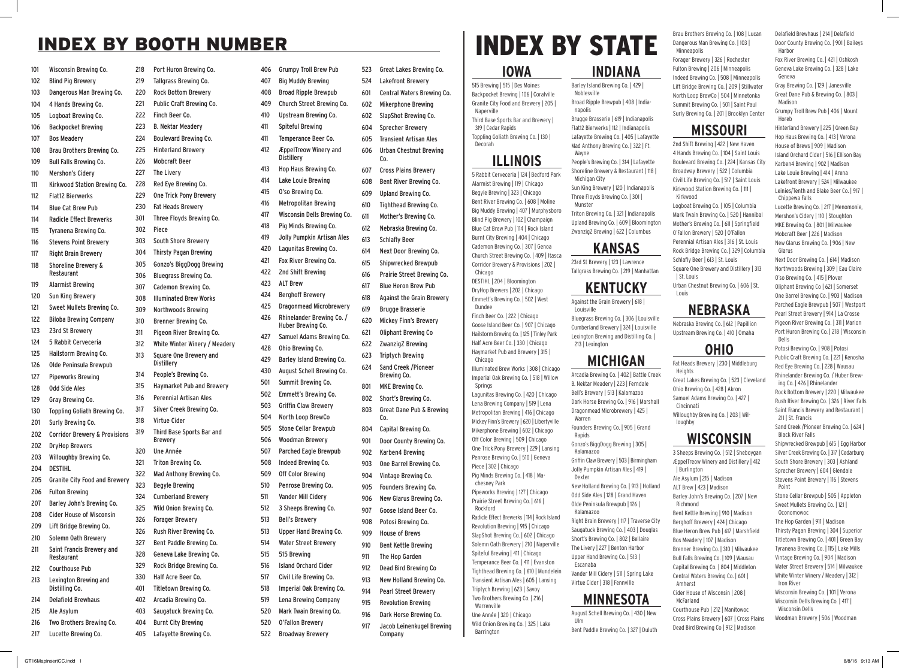# INDEX BY BOOTH NUMBER

| 101 | Wisconsin Brewing Co.                    | 218 | Port Huron Brewing Co.                      |
|-----|------------------------------------------|-----|---------------------------------------------|
| 102 | <b>Blind Pig Brewery</b>                 | 219 | Tallgrass Brewing Co.                       |
| 103 | Dangerous Man Brewing Co.                | 220 | <b>Rock Bottom Brewerv</b>                  |
| 104 | 4 Hands Brewing Co.                      | 221 | Public Craft Brewing Co.                    |
| 105 | Logboat Brewing Co.                      | 222 | Finch Beer Co.                              |
| 106 | <b>Backpocket Brewing</b>                | 223 | <b>B. Nektar Meadery</b>                    |
| 107 | <b>Bos Meadery</b>                       | 224 | <b>Boulevard Brewing Co.</b>                |
| 108 | Brau Brothers Brewing Co.                | 225 | <b>Hinterland Brewerv</b>                   |
| 109 | <b>Bull Falls Brewing Co.</b>            | 226 | <b>Mobcraft Beer</b>                        |
| 110 | <b>Mershon's Cidery</b>                  | 227 | The Livery                                  |
| 111 | Kirkwood Station Brewing Co.             | 228 | Red Eye Brewing Co.                         |
| 112 | <b>Flat12 Bierwerks</b>                  | 229 | One Trick Pony Brewery                      |
| 114 | <b>Blue Cat Brew Pub</b>                 | 230 | <b>Fat Heads Brewery</b>                    |
| 114 | <b>Radicle Effect Brewerks</b>           | 301 | Three Floyds Brewing Co.                    |
| 115 | <b>Tyranena Brewing Co.</b>              | 302 | Piece                                       |
| 116 | <b>Stevens Point Brewery</b>             | 303 | South Shore Brewery                         |
| 117 | <b>Right Brain Brewery</b>               | 304 | <b>Thirsty Pagan Brewing</b>                |
| 118 | Shoreline Brewery &                      | 305 | Gonzo's BiggDogg Brewing                    |
|     | Restaurant                               | 306 | <b>Bluegrass Brewing Co.</b>                |
| 119 | Alarmist Brewing                         | 307 | Cademon Brewing Co.                         |
| 120 | Sun King Brewery                         | 308 | <b>Illuminated Brew Works</b>               |
| 121 | Sweet Mullets Brewing Co.                | 309 | Northwoods Brewing                          |
| 122 | <b>Biloba Brewing Company</b>            | 310 | Brenner Brewing Co.                         |
| 123 | 23rd St Brewery                          | 311 | Pigeon River Brewing Co.                    |
| 124 | 5 Rabbit Cerveceria                      | 312 | White Winter Winery / Meadery               |
| 125 | Hailstorm Brewing Co.                    | 313 | Square One Brewery and                      |
| 126 | Olde Peninsula Brewpub                   |     | Distillery                                  |
| 127 | <b>Pipeworks Brewing</b>                 | 314 | People's Brewing Co.                        |
| 128 | <b>Odd Side Ales</b>                     | 315 | Haymarket Pub and Brewery                   |
| 129 | Gray Brewing Co.                         | 316 | <b>Perennial Artisan Ales</b>               |
| 130 | Toppling Goliath Brewing Co.             | 317 | Silver Creek Brewing Co.                    |
| 201 | Surly Brewing Co.                        | 318 | Virtue Cider                                |
| 202 | <b>Corridor Brewery &amp; Provisions</b> | 319 | Third Base Sports Bar and<br><b>Brewery</b> |
| 202 | <b>DrvHop Brewers</b>                    | 320 | Une Année                                   |
| 203 | Willoughby Brewing Co.                   | 321 | Triton Brewing Co.                          |
| 204 | DESTIHL                                  | 322 | Mad Anthony Brewing Co.                     |
| 205 | <b>Granite City Food and Brewery</b>     | 323 | <b>Begyle Brewing</b>                       |
| 206 | <b>Fulton Brewing</b>                    | 324 | <b>Cumberland Brewery</b>                   |
| 207 | Barley John's Brewing Co.                | 325 | Wild Onion Brewing Co.                      |
| 208 | <b>Cider House of Wisconsin</b>          | 326 | <b>Forager Brewery</b>                      |
| 209 | Lift Bridge Brewing Co.                  | 326 | Rush River Brewing Co.                      |
| 210 | Solemn Oath Brewery                      | 327 | Bent Paddle Brewing Co.                     |
| 211 | Saint Francis Brewery and                | 328 | Geneva Lake Brewing Co.                     |
|     | Restaurant                               | 329 | Rock Bridge Brewing Co.                     |
| 212 | Courthouse Pub                           | 330 | Half Acre Beer Co.                          |
| 213 | Lexington Brewing and<br>Distilling Co.  | 401 | Titletown Brewing Co.                       |
| 214 | <b>Delafield Brewhaus</b>                | 402 | Arcadia Brewing Co.                         |
| 215 | Ale Asylum                               | 403 | Saugatuck Brewing Co.                       |
| 216 | Two Brothers Brewing Co.                 | 404 | <b>Burnt City Brewing</b>                   |
| 217 | Lucette Brewing Co.                      | 405 | Lafayette Brewing Co.                       |

| 406 | <b>Grumpy Troll Brew Pub</b>                      | 523 | Great Lakes Brewing Co.             |
|-----|---------------------------------------------------|-----|-------------------------------------|
| 407 | <b>Big Muddy Brewing</b>                          | 524 | Lakefront Brewery                   |
| 408 | <b>Broad Ripple Brewpub</b>                       | 601 | Central Waters Brewing Co.          |
| 409 | Church Street Brewing Co.                         | 602 | <b>Mikerphone Brewing</b>           |
| 410 | Upstream Brewing Co.                              | 602 | SlapShot Brewing Co.                |
| 411 | Spiteful Brewing                                  | 604 | <b>Sprecher Brewery</b>             |
| 411 | Temperance Beer Co.                               | 605 | <b>Transient Artisan Ales</b>       |
| 412 | <b>ÆppelTreow Winery and</b><br><b>Distillery</b> | 606 | Urban Chestnut Brewing<br>Co.       |
| 413 | Hop Haus Brewing Co.                              | 607 | <b>Cross Plains Brewery</b>         |
| 414 | Lake Louie Brewing                                | 608 | Bent River Brewing Co.              |
| 415 | O'so Brewing Co.                                  | 609 | <b>Upland Brewing Co.</b>           |
| 416 | <b>Metropolitan Brewing</b>                       | 610 | Tighthead Brewing Co.               |
| 417 | Wisconsin Dells Brewing Co.                       | 611 | Mother's Brewing Co.                |
| 418 | Pig Minds Brewing Co.                             | 612 | Nebraska Brewing Co.                |
| 419 | Jolly Pumpkin Artisan Ales                        | 613 | <b>Schlafly Beer</b>                |
| 420 | Lagunitas Brewing Co.                             | 614 | Next Door Brewing Co.               |
| 421 | Fox River Brewing Co.                             | 615 | <b>Shipwrecked Brewpub</b>          |
| 422 | 2nd Shift Brewing                                 | 616 | Prairie Street Brewing Co.          |
| 423 | <b>ALT Brew</b>                                   | 617 | <b>Blue Heron Brew Pub</b>          |
| 424 | <b>Berghoff Brewery</b>                           | 618 | <b>Against the Grain Brewery</b>    |
| 425 | Dragonmead Microbrewery                           | 619 | <b>Brugge Brasserie</b>             |
| 426 | Rhinelander Brewing Co. /<br>Huber Brewing Co.    | 620 | Mickey Finn's Brewery               |
| 427 | Samuel Adams Brewing Co.                          | 621 | Oliphant Brewing Co                 |
| 428 | Ohio Brewing Co.                                  | 622 | ZwanzigZ Brewing                    |
| 429 | Barley Island Brewing Co.                         | 623 | <b>Triptych Brewing</b>             |
| 430 | August Schell Brewing Co.                         | 624 | Sand Creek / Pioneer<br>Brewing Co. |
| 501 | Summit Brewing Co.                                | 801 | <b>MKE Brewing Co.</b>              |
| 502 | Emmett's Brewing Co.                              | 802 | Short's Brewing Co.                 |
| 503 | <b>Griffin Claw Brewery</b>                       | 803 | Great Dane Pub & Brewing            |
| 504 | North Loop BrewCo                                 |     | Co.                                 |
| 505 | <b>Stone Cellar Brewpub</b>                       | 804 | Capital Brewing Co.                 |
| 506 | Woodman Brewery                                   | 901 | Door County Brewing Co.             |
| 507 | Parched Eagle Brewpub                             | 902 | Karben4 Brewing                     |
| 508 | Indeed Brewing Co.                                | 903 | One Barrel Brewing Co.              |
| 509 | <b>Off Color Brewing</b>                          | 904 | Vintage Brewing Co.                 |
| 510 | Penrose Brewing Co.                               | 905 | Founders Brewing Co.                |
| 511 | Vander Mill Cidery                                | 906 | New Glarus Brewing Co.              |
| 512 | 3 Sheeps Brewing Co.                              | 907 | <b>Goose Island Beer Co.</b>        |
| 513 | <b>Bell's Brewery</b>                             | 908 | Potosi Brewing Co.                  |
| 513 | Upper Hand Brewing Co.                            | 909 | <b>House of Brews</b>               |
| 514 | <b>Water Street Brewery</b>                       | 910 | <b>Bent Kettle Brewing</b>          |
| 515 | 515 Brewing                                       | 911 | The Hop Garden                      |
| 516 | <b>Island Orchard Cider</b>                       | 912 | Dead Bird Brewing Co                |
| 517 | Civil Life Brewing Co.                            | 913 | New Holland Brewing Co.             |
| 518 | Imperial Oak Brewing Co.                          | 914 | <b>Pearl Street Brewery</b>         |
| 519 | Lena Brewing Company                              | 915 | <b>Revolution Brewing</b>           |
| 520 | Mark Twain Brewing Co.                            | 916 | Dark Horse Brewing Co.              |
| 520 | <b>O'Fallon Brewery</b>                           | 917 | Jacob Leinenkugel Brewing           |
| 522 | <b>Broadway Brewery</b>                           |     | Company                             |
|     |                                                   |     |                                     |

# INDEX BY STATE

**INDIANA** Barley Island Brewing Co. | 429 |

Broad Ripple Brewpub | 408 | India-

Brugge Brasserie | 619 | Indianapolis Flat12 Bierwerks | 112 | Indianapolis

Mad Anthony Brewing Co. | 322 | Ft.

People's Brewing Co. | 314 | Lafayette Shoreline Brewery & Restaurant | 118 |

Sun King Brewery | 120 | Indianapolis Three Floyds Brewing Co. | 301 |

Triton Brewing Co. | 321 | Indianapolis

ZwanzigZ Brewing | 622 | Columbus

23rd St Brewery | 123 | Lawrence

**KANSAS**

**KENTUCKY** Against the Grain Brewery | 618 |

Bluegrass Brewing Co. | 306 | Louisville Cumberland Brewery | 324 | Louisville Lexington Brewing and Distilling Co. |

**MICHIGAN** Arcadia Brewing Co. | 402 | Battle Creek B. Nektar Meadery | 223 | Ferndale Bell's Brewery | 513 | Kalamazoo Dark Horse Brewing Co. | 916 | Marshall Dragonmead Microbrewery | 425 |

Founders Brewing Co. | 905 | Grand

Gonzo's BiggDogg Brewing | 305 |

Odd Side Ales | 128 | Grand Haven Olde Peninsula Brewpub | 126 |

Saugatuck Brewing Co. | 403 | Douglas Short's Brewing Co. | 802 | Bellaire The Livery | 227 | Benton Harbor Upper Hand Brewing Co. | 513 |

Vander Mill Cidery | 511 | Spring Lake Virtue Cider | 318 | Fennville

**MINNESOTA** August Schell Brewing Co. | 430 | New

Bent Paddle Brewing Co. | 327 | Duluth

Griffin Claw Brewery | 503 | Birmingham Jolly Pumpkin Artisan Ales | 419 |

Noblesville

napolis

Wayne

Munster

Louisville

213 | Lexington

Warren

Rapids

Dexter

Kalamazoo

Escanaba

Ulm

Kalamazoo

Michigan City

#### **IOWA**

515 Brewing | 515 | Des Moines Backpocket Brewing | 106 | Coralville Granite City Food and Brewery | 205 | Naperville Third Base Sports Bar and Brewery | 319 | Cedar Rapids Toppling Goliath Brewing Co. | 130 | Decorah

#### **ILLINOIS**

5 Rabbit Cerveceria | 124 | Bedford Park Alarmist Brewing | 119 | Chicago Begyle Brewing | 323 | Chicago Bent River Brewing Co. | 608 | Moline Big Muddy Brewing | 407 | Murphysboro Blind Pig Brewery | 102 | Champaign Blue Cat Brew Pub | 114 | Rock Island Burnt City Brewing | 404 | Chicago Cademon Brewing Co. | 307 | Genoa Church Street Brewing Co. | 409 | Itasca Corridor Brewery & Provisions | 202 | Chicago DESTIHL | 204 | Bloomington DryHop Brewers | 202 | Chicago Emmett's Brewing Co. | 502 | West Dundee Finch Beer Co. | 222 | Chicago Goose Island Beer Co. | 907 | Chicago Hailstorm Brewing Co. | 125 | Tinley Park Half Acre Beer Co. | 330 | Chicago Haymarket Pub and Brewery | 315 | Chicago Illuminated Brew Works | 308 | Chicago Imperial Oak Brewing Co. | 518 | Willow Springs Lagunitas Brewing Co. | 420 | Chicago Lena Brewing Company | 519 | Lena Metropolitan Brewing | 416 | Chicago Mickey Finn's Brewery | 620 | Libertyville Mikerphone Brewing | 602 | Chicago Off Color Brewing | 509 | Chicago One Trick Pony Brewery | 229 | Lansing Penrose Brewing Co. | 510 | Geneva Piece | 302 | Chicago Pig Minds Brewing Co. | 418 | Machesney Park Pipeworks Brewing | 127 | Chicago Prairie Street Brewing Co. | 616 | Rockford Radicle Effect Brewerks | 114 | Rock Island Revolution Brewing | 915 | Chicago SlapShot Brewing Co. | 602 | Chicago Solemn Oath Brewery | 210 | Naperville Spiteful Brewing | 411 | Chicago Temperance Beer Co. | 411 | Evanston Tighthead Brewing Co. | 610 | Mundelein Transient Artisan Ales | 605 | Lansing Triptych Brewing | 623 | Savoy Two Brothers Brewing Co. | 216 | Warrenville Une Année | 320 | Chicago Wild Onion Brewing Co. | 325 | Lake Barrington

Brau Brothers Brewing Co. | 108 | Lucan Dangerous Man Brewing Co. | 103 | Minneapolis

Forager Brewery | 326 | Rochester Fulton Brewing | 206 | Minneapolis Indeed Brewing Co. | 508 | Minneapolis

Lift Bridge Brewing Co. | 209 | Stillwater North Loop BrewCo | 504 | Minnetonka Summit Brewing Co. | 501 | Saint Paul Madison

Grumpy Troll Brew Pub | 406 | Mount Horeb

#### **MISSOURI**

Surly Brewing Co. | 201 | Brooklyn Center

Lafayette Brewing Co. | 405 | Lafayette Upland Brewing Co. | 609 | Bloomington Tallgrass Brewing Co. | 219 | Manhattan 2nd Shift Brewing | 422 | New Haven 4 Hands Brewing Co. | 104 | Saint Louis Boulevard Brewing Co. | 224 | Kansas City Broadway Brewery | 522 | Columbia Civil Life Brewing Co. | 517 | Saint Louis Kirkwood Station Brewing Co. | 111 | Kirkwood Logboat Brewing Co. | 105 | Columbia Mark Twain Brewing Co. | 520 | Hannibal Mother's Brewing Co. | 611 | Springfield O'Fallon Brewery | 520 | O'Fallon Perennial Artisan Ales | 316 | St. Louis Rock Bridge Brewing Co. | 329 | Columbia Schlafly Beer | 613 | St. Louis Square One Brewery and Distillery | 313 | St. Louis

Nebraska Brewing Co. | 612 | Papillion Upstream Brewing Co. | 410 | Omaha

### **OHIO**

Fat Heads Brewery | 230 | Middleburg **Heights** Ohio Brewing Co. | 428 | Akron Samuel Adams Brewing Co. | 427 | Cincinnati Willoughby Brewing Co. | 203 | Wil-

# **WISCONSIN**

New Holland Brewing Co. | 913 | Holland Right Brain Brewery | 117 | Traverse City 3 Sheeps Brewing Co. | 512 | Sheboygan ÆppelTreow Winery and Distillery | 412 | Burlington Ale Asylum | 215 | Madison ALT Brew | 423 | Madison Barley John's Brewing Co. | 207 | New Richmond Bent Kettle Brewing | 910 | Madison Berghoff Brewery | 424 | Chicago Blue Heron Brew Pub | 617 | Marshfield Bos Meadery | 107 | Madison Brenner Brewing Co. | 310 | Milwaukee Bull Falls Brewing Co. | 109 | Wausau Capital Brewing Co. | 804 | Middleton Central Waters Brewing Co. | 601 | Amherst Cider House of Wisconsin | 208 | McFarland Courthouse Pub | 212 | Manitowoc Cross Plains Brewery | 607 | Cross Plains

Dead Bird Brewing Co | 912 | Madison

Delafield Brewhaus | 214 | Delafield Door County Brewing Co. | 901 | Baileys **Harbor** 

Fox River Brewing Co. | 421 | Oshkosh Geneva Lake Brewing Co. | 328 | Lake Geneva Gray Brewing Co. | 129 | Janesville Great Dane Pub & Brewing Co. | 803 |

Hinterland Brewery | 225 | Green Bay

Hop Haus Brewing Co. | 413 | Verona

Parched Eagle Brewpub | 507 | Westport Pearl Street Brewery | 914 | La Crosse Pigeon River Brewing Co. | 311 | Marion Port Huron Brewing Co. | 218 | Wisconsin

Potosi Brewing Co. | 908 | Potosi Public Craft Brewing Co. | 221 | Kenosha Red Eye Brewing Co. | 228 | Wausau Rhinelander Brewing Co. / Huber Brewing Co. | 426 | Rhinelander Rock Bottom Brewery | 220 | Milwaukee Rush River Brewing Co. | 326 | River Falls Saint Francis Brewery and Restaurant |

Dells

211 | St. Francis

House of Brews | 909 | Madison Island Orchard Cider | 516 | Ellison Bay Karben4 Brewing | 902 | Madison Lake Louie Brewing | 414 | Arena Lakefront Brewery | 524 | Milwaukee Leinies/Tenth and Blake Beer Co. | 917 | Chippewa Falls Lucette Brewing Co. | 217 | Menomonie, Mershon's Cidery | 110 | Stoughton MKE Brewing Co. | 801 | Milwaukee Mobcraft Beer | 226 | Madison New Glarus Brewing Co. | 906 | New Glarus Next Door Brewing Co. | 614 | Madison

Urban Chestnut Brewing Co. | 606 | St. Louis Northwoods Brewing | 309 | Eau Claire O'so Brewing Co. | 415 | Plover Oliphant Brewing Co | 621 | Somerset One Barrel Brewing Co. | 903 | Madison

# **NEBRASKA**

Great Lakes Brewing Co. | 523 | Cleveland loughby

Sand Creek /Pioneer Brewing Co. | 624 | Black River Falls Shipwrecked Brewpub | 615 | Egg Harbor Silver Creek Brewing Co. | 317 | Cedarburg South Shore Brewery | 303 | Ashland

Sprecher Brewery | 604 | Glendale Stevens Point Brewery | 116 | Stevens Point

Stone Cellar Brewpub | 505 | Appleton Sweet Mullets Brewing Co. | 121 | Oconomowoc The Hop Garden | 911 | Madison Thirsty Pagan Brewing | 304 | Superior Titletown Brewing Co. | 401 | Green Bay Tyranena Brewing Co. | 115 | Lake Mills Vintage Brewing Co. | 904 | Madison Water Street Brewery | 514 | Milwaukee White Winter Winery / Meadery | 312 | Iron River Wisconsin Brewing Co. | 101 | Verona Wisconsin Dells Brewing Co. | 417 | Wisconsin Dells

Woodman Brewery | 506 | Woodman

GT16MapinsertCC.indd 1 8/8/16 9:13 AM